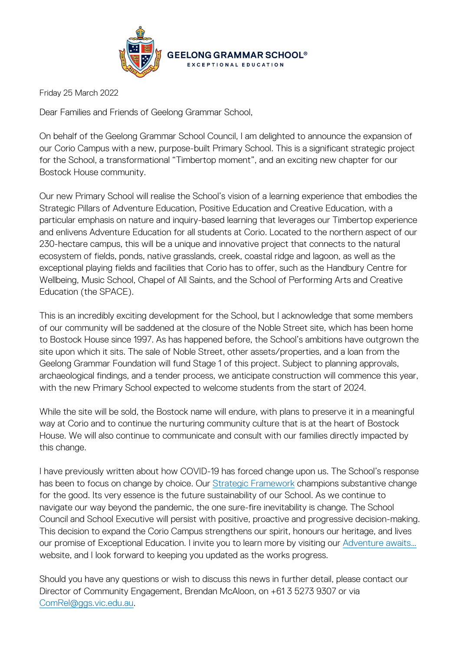

Friday 25 March 2022

Dear Families and Friends of Geelong Grammar School,

On behalf of the Geelong Grammar School Council, I am delighted to announce the expansion of our Corio Campus with a new, purpose-built Primary School. This is a significant strategic project for the School, a transformational "Timbertop moment", and an exciting new chapter for our Bostock House community.

Our new Primary School will realise the School's vision of a learning experience that embodies the Strategic Pillars of Adventure Education, Positive Education and Creative Education, with a particular emphasis on nature and inquiry-based learning that leverages our Timbertop experience and enlivens Adventure Education for all students at Corio. Located to the northern aspect of our 230-hectare campus, this will be a unique and innovative project that connects to the natural ecosystem of fields, ponds, native grasslands, creek, coastal ridge and lagoon, as well as the exceptional playing fields and facilities that Corio has to offer, such as the Handbury Centre for Wellbeing, Music School, Chapel of All Saints, and the School of Performing Arts and Creative Education (the SPACE).

This is an incredibly exciting development for the School, but I acknowledge that some members of our community will be saddened at the closure of the Noble Street site, which has been home to Bostock House since 1997. As has happened before, the School's ambitions have outgrown the site upon which it sits. The sale of Noble Street, other assets/properties, and a loan from the Geelong Grammar Foundation will fund Stage 1 of this project. Subject to planning approvals, archaeological findings, and a tender process, we anticipate construction will commence this year, with the new Primary School expected to welcome students from the start of 2024.

While the site will be sold, the Bostock name will endure, with plans to preserve it in a meaningful way at Corio and to continue the nurturing community culture that is at the heart of Bostock House. We will also continue to communicate and consult with our families directly impacted by this change.

I have previously written about how COVID-19 has forced change upon us. The School's response has been to focus on change by choice. Our [Strategic Framework](https://www.ggs.vic.edu.au/wp-content/uploads/2021/09/Geelong-Grammar-School_Strategic-Framework.pdf) champions substantive change for the good. Its very essence is the future sustainability of our School. As we continue to navigate our way beyond the pandemic, the one sure-fire inevitability is change. The School Council and School Executive will persist with positive, proactive and progressive decision-making. This decision to expand the Corio Campus strengthens our spirit, honours our heritage, and lives our promise of Exceptional Education. I invite you to learn more by visiting our Adventure awaits... website, and I look forward to keeping you updated as the works progress.

Should you have any questions or wish to discuss this news in further detail, please contact our Director of Community Engagement, Brendan McAloon, on +61 3 5273 9307 or via [ComRel@ggs.vic.edu.au.](mailto:ComRel@ggs.vic.edu.au?subject=Primary%20School%20at%20Corio%20Campus)